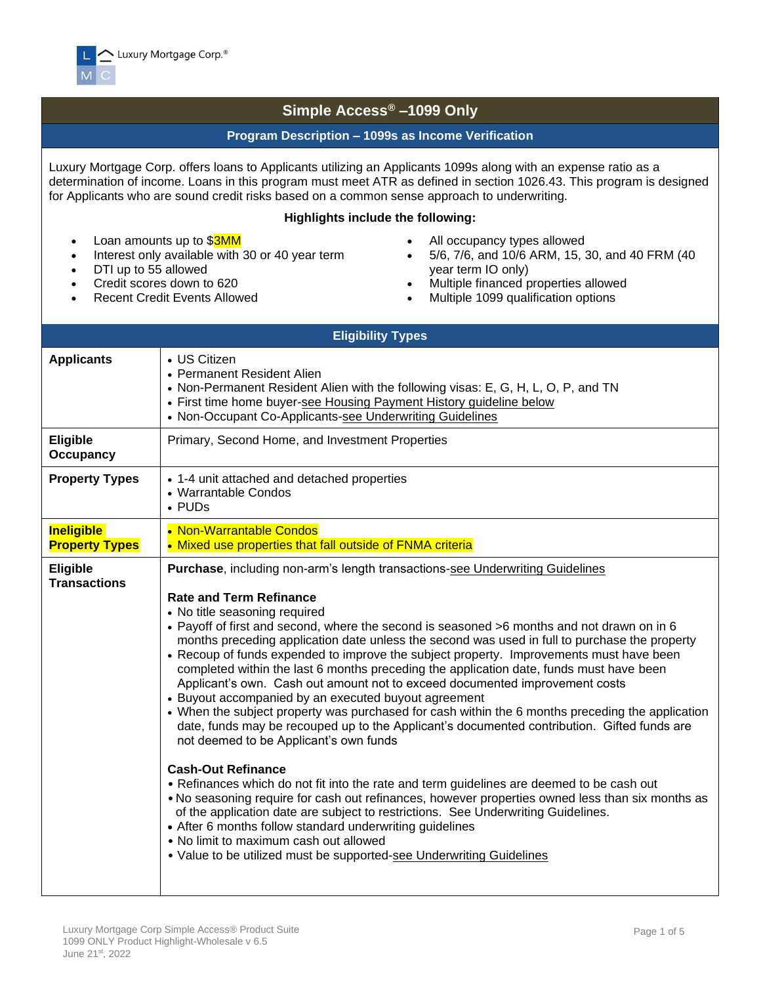

## **Simple Access® –1099 Only**

## **Program Description – 1099s as Income Verification**

Luxury Mortgage Corp. offers loans to Applicants utilizing an Applicants 1099s along with an expense ratio as a determination of income. Loans in this program must meet ATR as defined in section 1026.43. This program is designed for Applicants who are sound credit risks based on a common sense approach to underwriting.

## **Highlights include the following:**

- Loan amounts up to \$3MM
- Interest only available with 30 or 40 year term
- DTI up to 55 allowed
- Credit scores down to 620
- Recent Credit Events Allowed
- All occupancy types allowed
- 5/6, 7/6, and 10/6 ARM, 15, 30, and 40 FRM (40 year term IO only)
- Multiple financed properties allowed
- Multiple 1099 qualification options

|                                            | <b>Eligibility Types</b>                                                                                                                                                                                                                                                                                                                                                                                                                                                                                                                                                                                                                                                                                                                                                                                                                                                                                                                                                                                                                                                                                                                                                                                                                                                                                                                                                                                                          |
|--------------------------------------------|-----------------------------------------------------------------------------------------------------------------------------------------------------------------------------------------------------------------------------------------------------------------------------------------------------------------------------------------------------------------------------------------------------------------------------------------------------------------------------------------------------------------------------------------------------------------------------------------------------------------------------------------------------------------------------------------------------------------------------------------------------------------------------------------------------------------------------------------------------------------------------------------------------------------------------------------------------------------------------------------------------------------------------------------------------------------------------------------------------------------------------------------------------------------------------------------------------------------------------------------------------------------------------------------------------------------------------------------------------------------------------------------------------------------------------------|
| <b>Applicants</b>                          | • US Citizen<br>• Permanent Resident Alien<br>• Non-Permanent Resident Alien with the following visas: E, G, H, L, O, P, and TN<br>• First time home buyer-see Housing Payment History guideline below<br>• Non-Occupant Co-Applicants-see Underwriting Guidelines                                                                                                                                                                                                                                                                                                                                                                                                                                                                                                                                                                                                                                                                                                                                                                                                                                                                                                                                                                                                                                                                                                                                                                |
| <b>Eligible</b><br><b>Occupancy</b>        | Primary, Second Home, and Investment Properties                                                                                                                                                                                                                                                                                                                                                                                                                                                                                                                                                                                                                                                                                                                                                                                                                                                                                                                                                                                                                                                                                                                                                                                                                                                                                                                                                                                   |
| <b>Property Types</b>                      | • 1-4 unit attached and detached properties<br>• Warrantable Condos<br>• PUDs                                                                                                                                                                                                                                                                                                                                                                                                                                                                                                                                                                                                                                                                                                                                                                                                                                                                                                                                                                                                                                                                                                                                                                                                                                                                                                                                                     |
| <b>Ineligible</b><br><b>Property Types</b> | • Non-Warrantable Condos<br>• Mixed use properties that fall outside of FNMA criteria                                                                                                                                                                                                                                                                                                                                                                                                                                                                                                                                                                                                                                                                                                                                                                                                                                                                                                                                                                                                                                                                                                                                                                                                                                                                                                                                             |
| Eligible<br><b>Transactions</b>            | <b>Purchase, including non-arm's length transactions-see Underwriting Guidelines</b><br><b>Rate and Term Refinance</b><br>• No title seasoning required<br>• Payoff of first and second, where the second is seasoned >6 months and not drawn on in 6<br>months preceding application date unless the second was used in full to purchase the property<br>• Recoup of funds expended to improve the subject property. Improvements must have been<br>completed within the last 6 months preceding the application date, funds must have been<br>Applicant's own. Cash out amount not to exceed documented improvement costs<br>• Buyout accompanied by an executed buyout agreement<br>• When the subject property was purchased for cash within the 6 months preceding the application<br>date, funds may be recouped up to the Applicant's documented contribution. Gifted funds are<br>not deemed to be Applicant's own funds<br><b>Cash-Out Refinance</b><br>• Refinances which do not fit into the rate and term guidelines are deemed to be cash out<br>. No seasoning require for cash out refinances, however properties owned less than six months as<br>of the application date are subject to restrictions. See Underwriting Guidelines.<br>• After 6 months follow standard underwriting guidelines<br>• No limit to maximum cash out allowed<br>• Value to be utilized must be supported-see Underwriting Guidelines |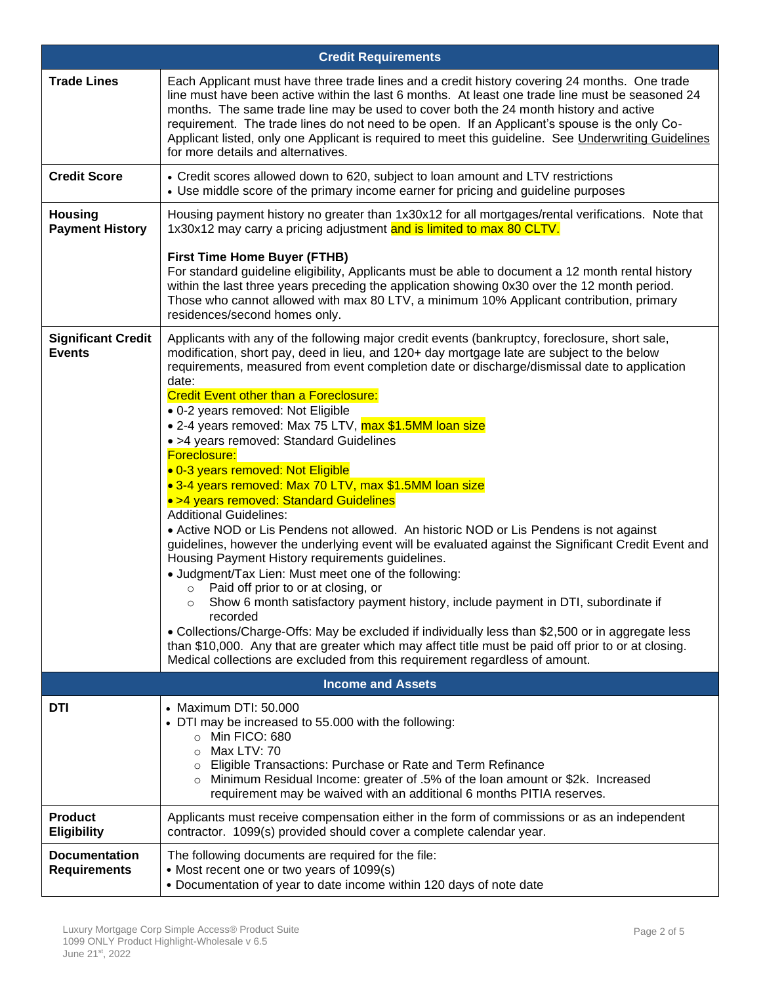|                                             | <b>Credit Requirements</b>                                                                                                                                                                                                                                                                                                                                                                                                                                                                                                                                                                                                                                                                                                                                                                                                                                                                                                                                                                                                                                                                                                                                                                                                                                                                                                                                                                                                                                         |
|---------------------------------------------|--------------------------------------------------------------------------------------------------------------------------------------------------------------------------------------------------------------------------------------------------------------------------------------------------------------------------------------------------------------------------------------------------------------------------------------------------------------------------------------------------------------------------------------------------------------------------------------------------------------------------------------------------------------------------------------------------------------------------------------------------------------------------------------------------------------------------------------------------------------------------------------------------------------------------------------------------------------------------------------------------------------------------------------------------------------------------------------------------------------------------------------------------------------------------------------------------------------------------------------------------------------------------------------------------------------------------------------------------------------------------------------------------------------------------------------------------------------------|
| <b>Trade Lines</b>                          | Each Applicant must have three trade lines and a credit history covering 24 months. One trade<br>line must have been active within the last 6 months. At least one trade line must be seasoned 24<br>months. The same trade line may be used to cover both the 24 month history and active<br>requirement. The trade lines do not need to be open. If an Applicant's spouse is the only Co-<br>Applicant listed, only one Applicant is required to meet this guideline. See Underwriting Guidelines<br>for more details and alternatives.                                                                                                                                                                                                                                                                                                                                                                                                                                                                                                                                                                                                                                                                                                                                                                                                                                                                                                                          |
| <b>Credit Score</b>                         | • Credit scores allowed down to 620, subject to loan amount and LTV restrictions<br>• Use middle score of the primary income earner for pricing and guideline purposes                                                                                                                                                                                                                                                                                                                                                                                                                                                                                                                                                                                                                                                                                                                                                                                                                                                                                                                                                                                                                                                                                                                                                                                                                                                                                             |
| <b>Housing</b><br><b>Payment History</b>    | Housing payment history no greater than 1x30x12 for all mortgages/rental verifications. Note that<br>1x30x12 may carry a pricing adjustment and is limited to max 80 CLTV.                                                                                                                                                                                                                                                                                                                                                                                                                                                                                                                                                                                                                                                                                                                                                                                                                                                                                                                                                                                                                                                                                                                                                                                                                                                                                         |
|                                             | <b>First Time Home Buyer (FTHB)</b><br>For standard guideline eligibility, Applicants must be able to document a 12 month rental history<br>within the last three years preceding the application showing 0x30 over the 12 month period.<br>Those who cannot allowed with max 80 LTV, a minimum 10% Applicant contribution, primary<br>residences/second homes only.                                                                                                                                                                                                                                                                                                                                                                                                                                                                                                                                                                                                                                                                                                                                                                                                                                                                                                                                                                                                                                                                                               |
| <b>Significant Credit</b><br><b>Events</b>  | Applicants with any of the following major credit events (bankruptcy, foreclosure, short sale,<br>modification, short pay, deed in lieu, and 120+ day mortgage late are subject to the below<br>requirements, measured from event completion date or discharge/dismissal date to application<br>date:<br><b>Credit Event other than a Foreclosure:</b><br>· 0-2 years removed: Not Eligible<br>• 2-4 years removed: Max 75 LTV, max \$1.5MM loan size<br>• >4 years removed: Standard Guidelines<br>Foreclosure:<br>· 0-3 years removed: Not Eligible<br>• 3-4 years removed: Max 70 LTV, max \$1.5MM loan size<br>• >4 years removed: Standard Guidelines<br><b>Additional Guidelines:</b><br>• Active NOD or Lis Pendens not allowed. An historic NOD or Lis Pendens is not against<br>guidelines, however the underlying event will be evaluated against the Significant Credit Event and<br>Housing Payment History requirements guidelines.<br>• Judgment/Tax Lien: Must meet one of the following:<br>Paid off prior to or at closing, or<br>$\circ$<br>Show 6 month satisfactory payment history, include payment in DTI, subordinate if<br>$\circ$<br>recorded<br>• Collections/Charge-Offs: May be excluded if individually less than \$2,500 or in aggregate less<br>than \$10,000. Any that are greater which may affect title must be paid off prior to or at closing.<br>Medical collections are excluded from this requirement regardless of amount. |
|                                             | <b>Income and Assets</b>                                                                                                                                                                                                                                                                                                                                                                                                                                                                                                                                                                                                                                                                                                                                                                                                                                                                                                                                                                                                                                                                                                                                                                                                                                                                                                                                                                                                                                           |
| DTI                                         | • Maximum DTI: 50.000<br>• DTI may be increased to 55.000 with the following:<br>o Min FICO: 680<br>Max LTV: 70<br>$\circ$<br>Eligible Transactions: Purchase or Rate and Term Refinance<br>$\circ$<br>○ Minimum Residual Income: greater of .5% of the loan amount or \$2k. Increased<br>requirement may be waived with an additional 6 months PITIA reserves.                                                                                                                                                                                                                                                                                                                                                                                                                                                                                                                                                                                                                                                                                                                                                                                                                                                                                                                                                                                                                                                                                                    |
| <b>Product</b><br><b>Eligibility</b>        | Applicants must receive compensation either in the form of commissions or as an independent<br>contractor. 1099(s) provided should cover a complete calendar year.                                                                                                                                                                                                                                                                                                                                                                                                                                                                                                                                                                                                                                                                                                                                                                                                                                                                                                                                                                                                                                                                                                                                                                                                                                                                                                 |
| <b>Documentation</b><br><b>Requirements</b> | The following documents are required for the file:<br>• Most recent one or two years of 1099(s)<br>• Documentation of year to date income within 120 days of note date                                                                                                                                                                                                                                                                                                                                                                                                                                                                                                                                                                                                                                                                                                                                                                                                                                                                                                                                                                                                                                                                                                                                                                                                                                                                                             |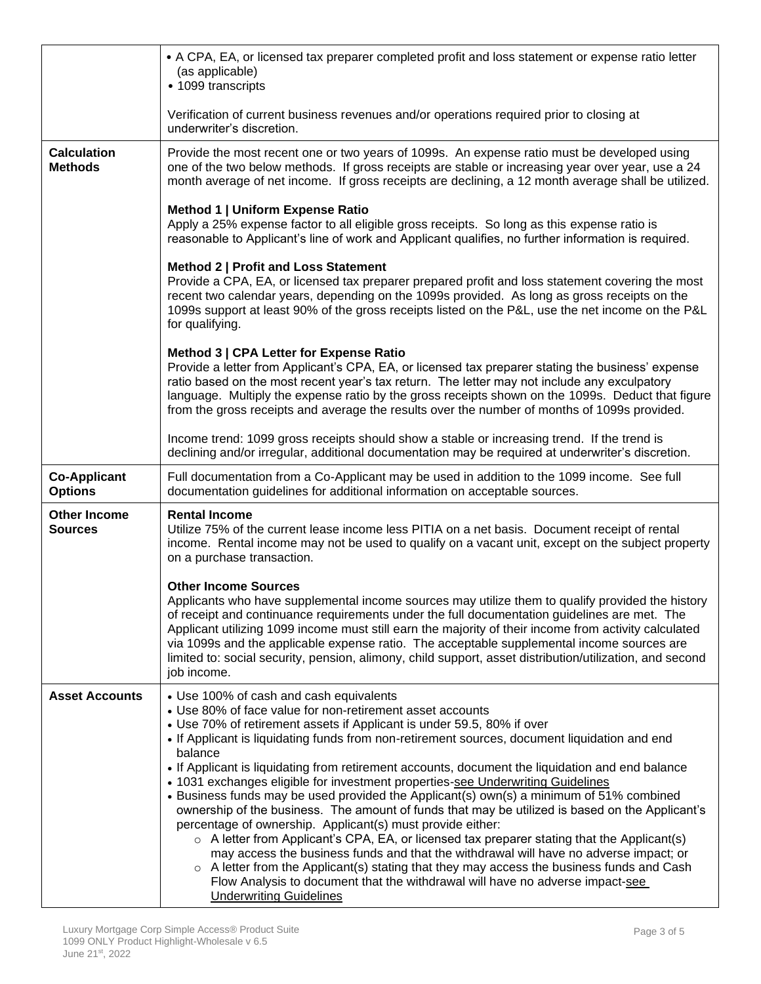|                                       | • A CPA, EA, or licensed tax preparer completed profit and loss statement or expense ratio letter<br>(as applicable)<br>• 1099 transcripts                                                                                                                                                                                                                                                                                                                                                                                                                        |
|---------------------------------------|-------------------------------------------------------------------------------------------------------------------------------------------------------------------------------------------------------------------------------------------------------------------------------------------------------------------------------------------------------------------------------------------------------------------------------------------------------------------------------------------------------------------------------------------------------------------|
|                                       | Verification of current business revenues and/or operations required prior to closing at<br>underwriter's discretion.                                                                                                                                                                                                                                                                                                                                                                                                                                             |
| <b>Calculation</b><br><b>Methods</b>  | Provide the most recent one or two years of 1099s. An expense ratio must be developed using<br>one of the two below methods. If gross receipts are stable or increasing year over year, use a 24<br>month average of net income. If gross receipts are declining, a 12 month average shall be utilized.                                                                                                                                                                                                                                                           |
|                                       | Method 1   Uniform Expense Ratio<br>Apply a 25% expense factor to all eligible gross receipts. So long as this expense ratio is<br>reasonable to Applicant's line of work and Applicant qualifies, no further information is required.                                                                                                                                                                                                                                                                                                                            |
|                                       | Method 2   Profit and Loss Statement<br>Provide a CPA, EA, or licensed tax preparer prepared profit and loss statement covering the most<br>recent two calendar years, depending on the 1099s provided. As long as gross receipts on the<br>1099s support at least 90% of the gross receipts listed on the P&L, use the net income on the P&L<br>for qualifying.                                                                                                                                                                                                  |
|                                       | Method 3   CPA Letter for Expense Ratio<br>Provide a letter from Applicant's CPA, EA, or licensed tax preparer stating the business' expense<br>ratio based on the most recent year's tax return. The letter may not include any exculpatory<br>language. Multiply the expense ratio by the gross receipts shown on the 1099s. Deduct that figure<br>from the gross receipts and average the results over the number of months of 1099s provided.                                                                                                                 |
|                                       | Income trend: 1099 gross receipts should show a stable or increasing trend. If the trend is<br>declining and/or irregular, additional documentation may be required at underwriter's discretion.                                                                                                                                                                                                                                                                                                                                                                  |
| <b>Co-Applicant</b><br><b>Options</b> | Full documentation from a Co-Applicant may be used in addition to the 1099 income. See full<br>documentation guidelines for additional information on acceptable sources.                                                                                                                                                                                                                                                                                                                                                                                         |
| <b>Other Income</b><br><b>Sources</b> | <b>Rental Income</b><br>Utilize 75% of the current lease income less PITIA on a net basis. Document receipt of rental<br>income. Rental income may not be used to qualify on a vacant unit, except on the subject property<br>on a purchase transaction.                                                                                                                                                                                                                                                                                                          |
|                                       | <b>Other Income Sources</b><br>Applicants who have supplemental income sources may utilize them to qualify provided the history<br>of receipt and continuance requirements under the full documentation guidelines are met. The<br>Applicant utilizing 1099 income must still earn the majority of their income from activity calculated<br>via 1099s and the applicable expense ratio. The acceptable supplemental income sources are<br>limited to: social security, pension, alimony, child support, asset distribution/utilization, and second<br>job income. |
| <b>Asset Accounts</b>                 | • Use 100% of cash and cash equivalents<br>• Use 80% of face value for non-retirement asset accounts                                                                                                                                                                                                                                                                                                                                                                                                                                                              |
|                                       | • Use 70% of retirement assets if Applicant is under 59.5, 80% if over<br>. If Applicant is liquidating funds from non-retirement sources, document liquidation and end<br>balance                                                                                                                                                                                                                                                                                                                                                                                |
|                                       | • If Applicant is liquidating from retirement accounts, document the liquidation and end balance<br>• 1031 exchanges eligible for investment properties-see Underwriting Guidelines<br>• Business funds may be used provided the Applicant(s) own(s) a minimum of 51% combined<br>ownership of the business. The amount of funds that may be utilized is based on the Applicant's<br>percentage of ownership. Applicant(s) must provide either:                                                                                                                   |
|                                       | $\circ$ A letter from Applicant's CPA, EA, or licensed tax preparer stating that the Applicant(s)<br>may access the business funds and that the withdrawal will have no adverse impact; or<br>$\circ$ A letter from the Applicant(s) stating that they may access the business funds and Cash<br>Flow Analysis to document that the withdrawal will have no adverse impact-see<br><b>Underwriting Guidelines</b>                                                                                                                                                  |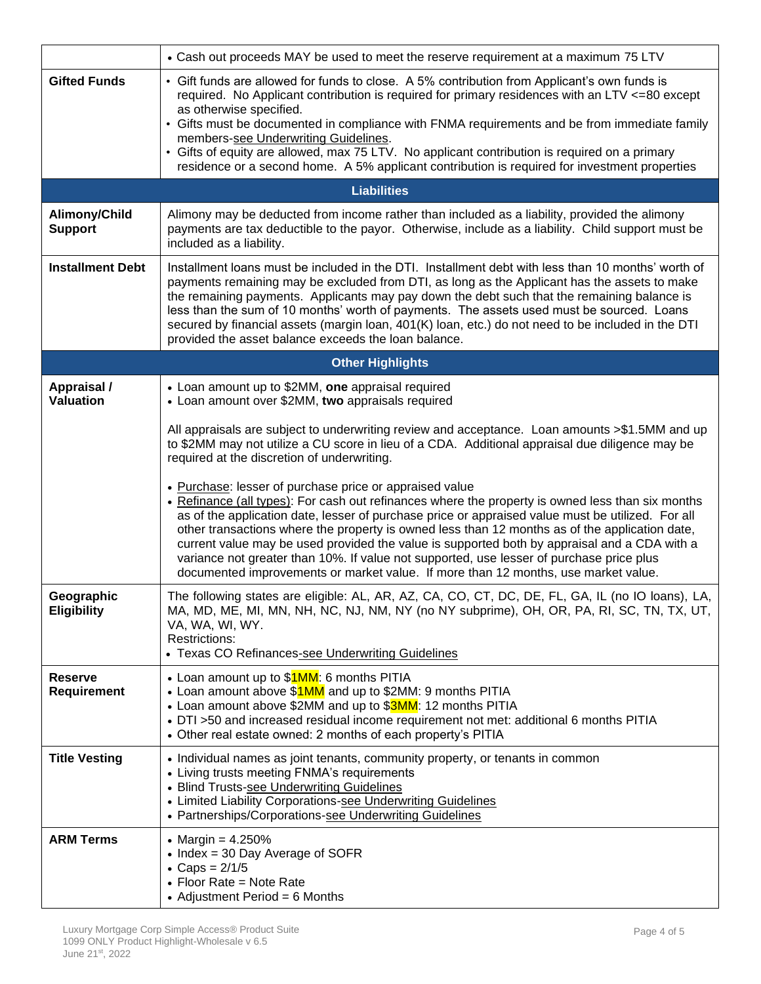|                                      | • Cash out proceeds MAY be used to meet the reserve requirement at a maximum 75 LTV                                                                                                                                                                                                                                                                                                                                                                                                                                                                                                                                                                                                                                                                                                                     |  |  |  |  |  |  |  |
|--------------------------------------|---------------------------------------------------------------------------------------------------------------------------------------------------------------------------------------------------------------------------------------------------------------------------------------------------------------------------------------------------------------------------------------------------------------------------------------------------------------------------------------------------------------------------------------------------------------------------------------------------------------------------------------------------------------------------------------------------------------------------------------------------------------------------------------------------------|--|--|--|--|--|--|--|
| <b>Gifted Funds</b>                  | • Gift funds are allowed for funds to close. A 5% contribution from Applicant's own funds is<br>required. No Applicant contribution is required for primary residences with an LTV <= 80 except<br>as otherwise specified.<br>• Gifts must be documented in compliance with FNMA requirements and be from immediate family<br>members-see Underwriting Guidelines.<br>• Gifts of equity are allowed, max 75 LTV. No applicant contribution is required on a primary<br>residence or a second home. A 5% applicant contribution is required for investment properties                                                                                                                                                                                                                                    |  |  |  |  |  |  |  |
|                                      | <b>Liabilities</b>                                                                                                                                                                                                                                                                                                                                                                                                                                                                                                                                                                                                                                                                                                                                                                                      |  |  |  |  |  |  |  |
| Alimony/Child<br><b>Support</b>      | Alimony may be deducted from income rather than included as a liability, provided the alimony<br>payments are tax deductible to the payor. Otherwise, include as a liability. Child support must be<br>included as a liability.                                                                                                                                                                                                                                                                                                                                                                                                                                                                                                                                                                         |  |  |  |  |  |  |  |
| <b>Installment Debt</b>              | Installment loans must be included in the DTI. Installment debt with less than 10 months' worth of<br>payments remaining may be excluded from DTI, as long as the Applicant has the assets to make<br>the remaining payments. Applicants may pay down the debt such that the remaining balance is<br>less than the sum of 10 months' worth of payments. The assets used must be sourced. Loans<br>secured by financial assets (margin loan, 401(K) loan, etc.) do not need to be included in the DTI<br>provided the asset balance exceeds the loan balance.                                                                                                                                                                                                                                            |  |  |  |  |  |  |  |
|                                      | <b>Other Highlights</b>                                                                                                                                                                                                                                                                                                                                                                                                                                                                                                                                                                                                                                                                                                                                                                                 |  |  |  |  |  |  |  |
| Appraisal /<br><b>Valuation</b>      | • Loan amount up to \$2MM, one appraisal required<br>• Loan amount over \$2MM, two appraisals required<br>All appraisals are subject to underwriting review and acceptance. Loan amounts >\$1.5MM and up                                                                                                                                                                                                                                                                                                                                                                                                                                                                                                                                                                                                |  |  |  |  |  |  |  |
|                                      | to \$2MM may not utilize a CU score in lieu of a CDA. Additional appraisal due diligence may be<br>required at the discretion of underwriting.<br>• Purchase: lesser of purchase price or appraised value<br>• Refinance (all types): For cash out refinances where the property is owned less than six months<br>as of the application date, lesser of purchase price or appraised value must be utilized. For all<br>other transactions where the property is owned less than 12 months as of the application date,<br>current value may be used provided the value is supported both by appraisal and a CDA with a<br>variance not greater than 10%. If value not supported, use lesser of purchase price plus<br>documented improvements or market value. If more than 12 months, use market value. |  |  |  |  |  |  |  |
| Geographic<br>Eligibility            | The following states are eligible: AL, AR, AZ, CA, CO, CT, DC, DE, FL, GA, IL (no IO loans), LA,<br>MA, MD, ME, MI, MN, NH, NC, NJ, NM, NY (no NY subprime), OH, OR, PA, RI, SC, TN, TX, UT,<br>VA, WA, WI, WY.<br><b>Restrictions:</b><br>• Texas CO Refinances-see Underwriting Guidelines                                                                                                                                                                                                                                                                                                                                                                                                                                                                                                            |  |  |  |  |  |  |  |
| <b>Reserve</b><br><b>Requirement</b> | • Loan amount up to \$1MM: 6 months PITIA<br>• Loan amount above \$1MM and up to \$2MM: 9 months PITIA<br>• Loan amount above \$2MM and up to \$3MM: 12 months PITIA<br>• DTI >50 and increased residual income requirement not met: additional 6 months PITIA<br>• Other real estate owned: 2 months of each property's PITIA                                                                                                                                                                                                                                                                                                                                                                                                                                                                          |  |  |  |  |  |  |  |
| <b>Title Vesting</b>                 | • Individual names as joint tenants, community property, or tenants in common<br>• Living trusts meeting FNMA's requirements<br>• Blind Trusts-see Underwriting Guidelines<br>• Limited Liability Corporations-see Underwriting Guidelines<br>• Partnerships/Corporations-see Underwriting Guidelines                                                                                                                                                                                                                                                                                                                                                                                                                                                                                                   |  |  |  |  |  |  |  |
| <b>ARM Terms</b>                     | • Margin = $4.250\%$<br>• Index = 30 Day Average of SOFR<br>• Caps = $2/1/5$<br>$\bullet$ Floor Rate = Note Rate<br>• Adjustment Period = $6$ Months                                                                                                                                                                                                                                                                                                                                                                                                                                                                                                                                                                                                                                                    |  |  |  |  |  |  |  |